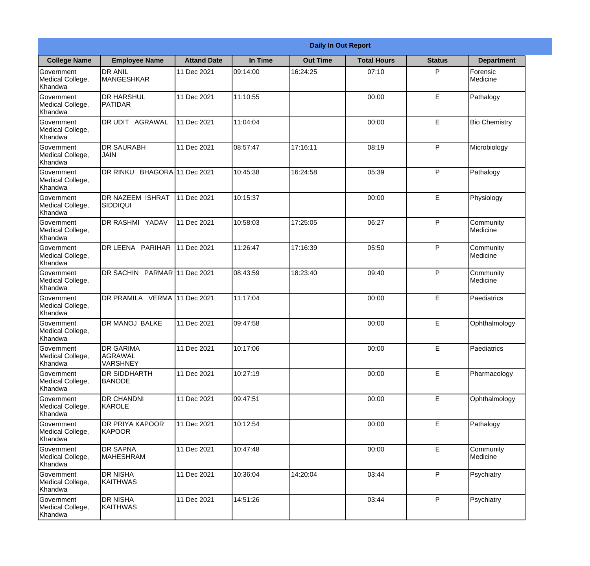|                                                  | <b>Daily In Out Report</b>                     |                    |          |                 |                    |               |                       |  |
|--------------------------------------------------|------------------------------------------------|--------------------|----------|-----------------|--------------------|---------------|-----------------------|--|
| <b>College Name</b>                              | <b>Employee Name</b>                           | <b>Attand Date</b> | In Time  | <b>Out Time</b> | <b>Total Hours</b> | <b>Status</b> | <b>Department</b>     |  |
| Government<br>Medical College,<br>Khandwa        | <b>DR ANIL</b><br><b>MANGESHKAR</b>            | 11 Dec 2021        | 09:14:00 | 16:24:25        | 07:10              | P             | Forensic<br>Medicine  |  |
| Government<br>Medical College,<br>Khandwa        | <b>DR HARSHUL</b><br>PATIDAR                   | 11 Dec 2021        | 11:10:55 |                 | 00:00              | E             | Pathalogy             |  |
| <b>Government</b><br>Medical College,<br>Khandwa | <b>IDR UDIT AGRAWAL</b>                        | 11 Dec 2021        | 11:04:04 |                 | 00:00              | E             | <b>Bio Chemistry</b>  |  |
| <b>Government</b><br>Medical College,<br>Khandwa | <b>DR SAURABH</b><br><b>JAIN</b>               | 11 Dec 2021        | 08:57:47 | 17:16:11        | 08:19              | P             | Microbiology          |  |
| Government<br>Medical College,<br>Khandwa        | DR RINKU BHAGORA 11 Dec 2021                   |                    | 10:45:38 | 16:24:58        | 05:39              | P             | Pathalogy             |  |
| Government<br>Medical College,<br>Khandwa        | DR NAZEEM ISHRAT<br>SIDDIQUI                   | 11 Dec 2021        | 10:15:37 |                 | 00:00              | E             | Physiology            |  |
| <b>Government</b><br>Medical College,<br>Khandwa | <b>DR RASHMI YADAV</b>                         | 11 Dec 2021        | 10:58:03 | 17:25:05        | 06:27              | P             | Community<br>Medicine |  |
| <b>Government</b><br>Medical College,<br>Khandwa | DR LEENA PARIHAR                               | 11 Dec 2021        | 11:26:47 | 17:16:39        | 05:50              | P             | Community<br>Medicine |  |
| Government<br>Medical College,<br>Khandwa        | DR SACHIN PARMAR 11 Dec 2021                   |                    | 08:43:59 | 18:23:40        | 09:40              | P             | Community<br>Medicine |  |
| Government<br>Medical College,<br>Khandwa        | DR PRAMILA VERMA 11 Dec 2021                   |                    | 11:17:04 |                 | 00:00              | E             | Paediatrics           |  |
| Government<br>Medical College,<br>Khandwa        | <b>DR MANOJ BALKE</b>                          | 11 Dec 2021        | 09:47:58 |                 | 00:00              | E             | Ophthalmology         |  |
| Government<br>Medical College,<br>Khandwa        | <b>DR GARIMA</b><br>AGRAWAL<br><b>VARSHNEY</b> | 11 Dec 2021        | 10:17:06 |                 | 00:00              | E             | Paediatrics           |  |
| Government<br>Medical College,<br>Khandwa        | DR SIDDHARTH<br><b>BANODE</b>                  | 11 Dec 2021        | 10:27:19 |                 | 00:00              | E             | Pharmacology          |  |
| Government<br>Medical College,<br>Khandwa        | <b>DR CHANDNI</b><br>KAROLE                    | 11 Dec 2021        | 09:47:51 |                 | 00:00              | $\mathsf E$   | Ophthalmology         |  |
| <b>Government</b><br>Medical College,<br>Khandwa | <b>DR PRIYA KAPOOR</b><br>KAPOOR               | 11 Dec 2021        | 10:12:54 |                 | 00:00              | E             | Pathalogy             |  |
| Government<br>Medical College,<br>Khandwa        | <b>DR SAPNA</b><br><b>MAHESHRAM</b>            | 11 Dec 2021        | 10:47:48 |                 | 00:00              | E             | Community<br>Medicine |  |
| Government<br>Medical College,<br>Khandwa        | <b>DR NISHA</b><br><b>KAITHWAS</b>             | 11 Dec 2021        | 10:36:04 | 14:20:04        | 03:44              | P             | Psychiatry            |  |
| Government<br>Medical College,<br>Khandwa        | <b>DR NISHA</b><br>KAITHWAS                    | 11 Dec 2021        | 14:51:26 |                 | 03:44              | P             | Psychiatry            |  |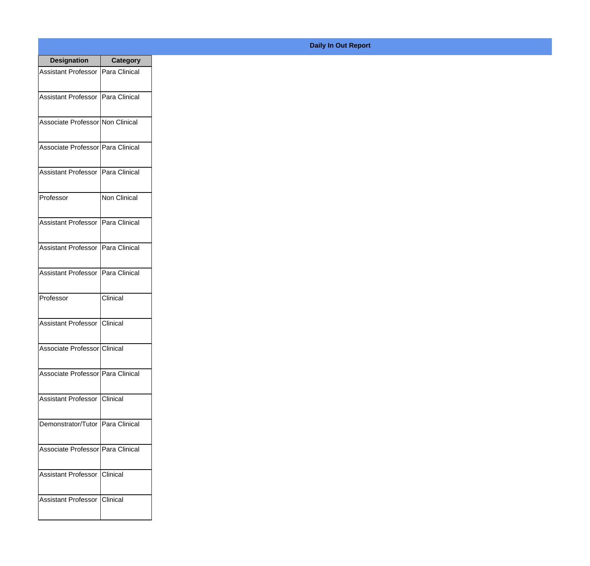| <b>Designation</b>                  | <b>Category</b> |
|-------------------------------------|-----------------|
| Assistant Professor   Para Clinical |                 |
| Assistant Professor   Para Clinical |                 |
| Associate Professor Non Clinical    |                 |
| Associate Professor   Para Clinical |                 |
| Assistant Professor   Para Clinical |                 |
| Professor                           | Non Clinical    |
| Assistant Professor   Para Clinical |                 |
| Assistant Professor   Para Clinical |                 |
| Assistant Professor   Para Clinical |                 |
| Professor                           | Clinical        |
| Assistant Professor                 | Clinical        |
| Associate Professor Clinical        |                 |
| Associate Professor Para Clinical   |                 |
| Assistant Professor   Clinical      |                 |
| Demonstrator/Tutor   Para Clinical  |                 |
| Associate Professor Para Clinical   |                 |
| <b>Assistant Professor</b>          | Clinical        |
| Assistant Professor   Clinical      |                 |

## **Daily In Out Report**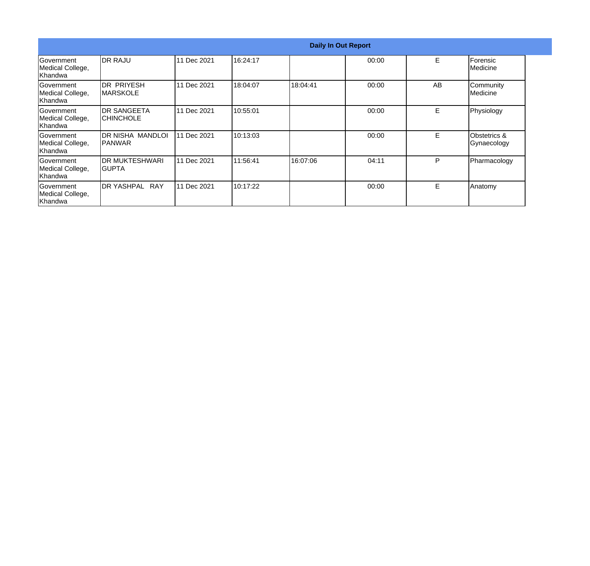|                                                  |                                       |             |          | <b>Daily In Out Report</b> |       |    |                                        |
|--------------------------------------------------|---------------------------------------|-------------|----------|----------------------------|-------|----|----------------------------------------|
| Government<br>Medical College,<br>Khandwa        | <b>IDR RAJU</b>                       | 11 Dec 2021 | 16:24:17 |                            | 00:00 | E  | Forensic<br>Medicine                   |
| Government<br>Medical College,<br>Khandwa        | <b>DR PRIYESH</b><br><b>IMARSKOLE</b> | 11 Dec 2021 | 18:04:07 | 18:04:41                   | 00:00 | AB | Community<br>Medicine                  |
| Government<br>Medical College,<br>Khandwa        | IDR SANGEETA<br>ICHINCHOLE            | 11 Dec 2021 | 10:55:01 |                            | 00:00 | E. | Physiology                             |
| Government<br>Medical College,<br>Khandwa        | DR NISHA MANDLOI<br><b>IPANWAR</b>    | 11 Dec 2021 | 10:13:03 |                            | 00:00 | E  | <b>Obstetrics &amp;</b><br>Gynaecology |
| Government<br>Medical College,<br>Khandwa        | <b>IDR MUKTESHWARI</b><br>IGUPTA      | 11 Dec 2021 | 11:56:41 | 16:07:06                   | 04:11 | P  | Pharmacology                           |
| <b>Government</b><br>Medical College,<br>Khandwa | <b>DR YASHPAL</b><br><b>RAY</b>       | 11 Dec 2021 | 10:17:22 |                            | 00:00 | E  | Anatomy                                |